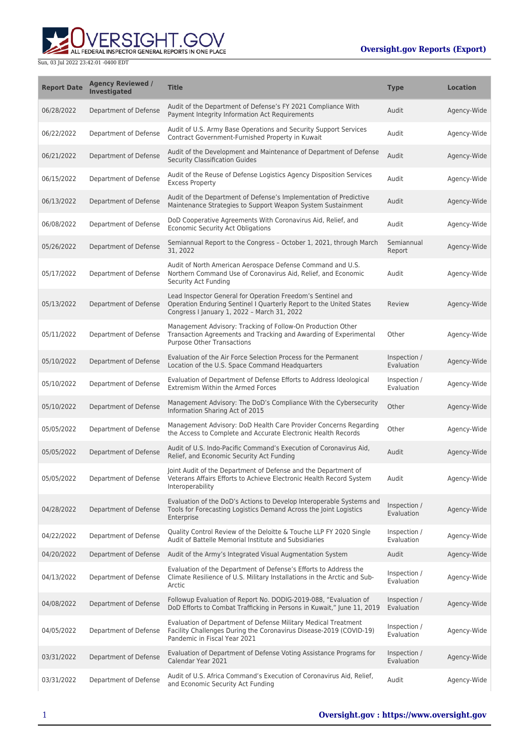

| <b>Report Date</b> | <b>Agency Reviewed /</b><br><b>Investigated</b> | <b>Title</b>                                                                                                                                                                      | <b>Type</b>                | <b>Location</b> |
|--------------------|-------------------------------------------------|-----------------------------------------------------------------------------------------------------------------------------------------------------------------------------------|----------------------------|-----------------|
| 06/28/2022         | Department of Defense                           | Audit of the Department of Defense's FY 2021 Compliance With<br>Payment Integrity Information Act Requirements                                                                    | Audit                      | Agency-Wide     |
| 06/22/2022         | Department of Defense                           | Audit of U.S. Army Base Operations and Security Support Services<br>Contract Government-Furnished Property in Kuwait                                                              | Audit                      | Agency-Wide     |
| 06/21/2022         | Department of Defense                           | Audit of the Development and Maintenance of Department of Defense<br><b>Security Classification Guides</b>                                                                        | Audit                      | Agency-Wide     |
| 06/15/2022         | Department of Defense                           | Audit of the Reuse of Defense Logistics Agency Disposition Services<br><b>Excess Property</b>                                                                                     | Audit                      | Agency-Wide     |
| 06/13/2022         | Department of Defense                           | Audit of the Department of Defense's Implementation of Predictive<br>Maintenance Strategies to Support Weapon System Sustainment                                                  | Audit                      | Agency-Wide     |
| 06/08/2022         | Department of Defense                           | DoD Cooperative Agreements With Coronavirus Aid, Relief, and<br>Economic Security Act Obligations                                                                                 | Audit                      | Agency-Wide     |
| 05/26/2022         | Department of Defense                           | Semiannual Report to the Congress - October 1, 2021, through March<br>31, 2022                                                                                                    | Semiannual<br>Report       | Agency-Wide     |
| 05/17/2022         | Department of Defense                           | Audit of North American Aerospace Defense Command and U.S.<br>Northern Command Use of Coronavirus Aid, Relief, and Economic<br>Security Act Funding                               | Audit                      | Agency-Wide     |
| 05/13/2022         | Department of Defense                           | Lead Inspector General for Operation Freedom's Sentinel and<br>Operation Enduring Sentinel I Quarterly Report to the United States<br>Congress I January 1, 2022 - March 31, 2022 | Review                     | Agency-Wide     |
| 05/11/2022         | Department of Defense                           | Management Advisory: Tracking of Follow-On Production Other<br>Transaction Agreements and Tracking and Awarding of Experimental<br><b>Purpose Other Transactions</b>              | Other                      | Agency-Wide     |
| 05/10/2022         | Department of Defense                           | Evaluation of the Air Force Selection Process for the Permanent<br>Location of the U.S. Space Command Headquarters                                                                | Inspection /<br>Evaluation | Agency-Wide     |
| 05/10/2022         | Department of Defense                           | Evaluation of Department of Defense Efforts to Address Ideological<br><b>Extremism Within the Armed Forces</b>                                                                    | Inspection /<br>Evaluation | Agency-Wide     |
| 05/10/2022         | Department of Defense                           | Management Advisory: The DoD's Compliance With the Cybersecurity<br>Information Sharing Act of 2015                                                                               | Other                      | Agency-Wide     |
| 05/05/2022         | Department of Defense                           | Management Advisory: DoD Health Care Provider Concerns Regarding<br>the Access to Complete and Accurate Electronic Health Records                                                 | Other                      | Agency-Wide     |
| 05/05/2022         | Department of Defense                           | Audit of U.S. Indo-Pacific Command's Execution of Coronavirus Aid,<br>Relief, and Economic Security Act Funding                                                                   | Audit                      | Agency-Wide     |
| 05/05/2022         | Department of Defense                           | Joint Audit of the Department of Defense and the Department of<br>Veterans Affairs Efforts to Achieve Electronic Health Record System<br>Interoperability                         | Audit                      | Agency-Wide     |
| 04/28/2022         | Department of Defense                           | Evaluation of the DoD's Actions to Develop Interoperable Systems and<br>Tools for Forecasting Logistics Demand Across the Joint Logistics<br>Enterprise                           | Inspection /<br>Evaluation | Agency-Wide     |
| 04/22/2022         | Department of Defense                           | Quality Control Review of the Deloitte & Touche LLP FY 2020 Single<br>Audit of Battelle Memorial Institute and Subsidiaries                                                       | Inspection /<br>Evaluation | Agency-Wide     |
| 04/20/2022         | Department of Defense                           | Audit of the Army's Integrated Visual Augmentation System                                                                                                                         | Audit                      | Agency-Wide     |
| 04/13/2022         | Department of Defense                           | Evaluation of the Department of Defense's Efforts to Address the<br>Climate Resilience of U.S. Military Installations in the Arctic and Sub-<br>Arctic                            | Inspection /<br>Evaluation | Agency-Wide     |
| 04/08/2022         | Department of Defense                           | Followup Evaluation of Report No. DODIG-2019-088, "Evaluation of<br>DoD Efforts to Combat Trafficking in Persons in Kuwait," June 11, 2019                                        | Inspection /<br>Evaluation | Agency-Wide     |
| 04/05/2022         | Department of Defense                           | Evaluation of Department of Defense Military Medical Treatment<br>Facility Challenges During the Coronavirus Disease-2019 (COVID-19)<br>Pandemic in Fiscal Year 2021              | Inspection /<br>Evaluation | Agency-Wide     |
| 03/31/2022         | Department of Defense                           | Evaluation of Department of Defense Voting Assistance Programs for<br>Calendar Year 2021                                                                                          | Inspection /<br>Evaluation | Agency-Wide     |
| 03/31/2022         | Department of Defense                           | Audit of U.S. Africa Command's Execution of Coronavirus Aid, Relief,<br>and Economic Security Act Funding                                                                         | Audit                      | Agency-Wide     |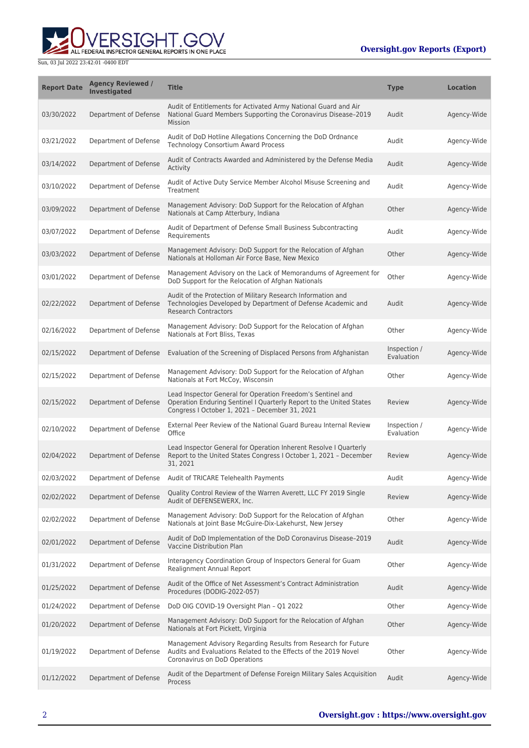

| <b>Report Date</b> | <b>Agency Reviewed /</b><br><b>Investigated</b> | <b>Title</b>                                                                                                                                                                         | <b>Type</b>                | <b>Location</b> |
|--------------------|-------------------------------------------------|--------------------------------------------------------------------------------------------------------------------------------------------------------------------------------------|----------------------------|-----------------|
| 03/30/2022         | Department of Defense                           | Audit of Entitlements for Activated Army National Guard and Air<br>National Guard Members Supporting the Coronavirus Disease-2019<br>Mission                                         | Audit                      | Agency-Wide     |
| 03/21/2022         | Department of Defense                           | Audit of DoD Hotline Allegations Concerning the DoD Ordnance<br><b>Technology Consortium Award Process</b>                                                                           | Audit                      | Agency-Wide     |
| 03/14/2022         | Department of Defense                           | Audit of Contracts Awarded and Administered by the Defense Media<br>Activity                                                                                                         | Audit                      | Agency-Wide     |
| 03/10/2022         | Department of Defense                           | Audit of Active Duty Service Member Alcohol Misuse Screening and<br>Treatment                                                                                                        | Audit                      | Agency-Wide     |
| 03/09/2022         | Department of Defense                           | Management Advisory: DoD Support for the Relocation of Afghan<br>Nationals at Camp Atterbury, Indiana                                                                                | Other                      | Agency-Wide     |
| 03/07/2022         | Department of Defense                           | Audit of Department of Defense Small Business Subcontracting<br>Requirements                                                                                                         | Audit                      | Agency-Wide     |
| 03/03/2022         | Department of Defense                           | Management Advisory: DoD Support for the Relocation of Afghan<br>Nationals at Holloman Air Force Base, New Mexico                                                                    | Other                      | Agency-Wide     |
| 03/01/2022         | Department of Defense                           | Management Advisory on the Lack of Memorandums of Agreement for<br>DoD Support for the Relocation of Afghan Nationals                                                                | Other                      | Agency-Wide     |
| 02/22/2022         | Department of Defense                           | Audit of the Protection of Military Research Information and<br>Technologies Developed by Department of Defense Academic and<br><b>Research Contractors</b>                          | Audit                      | Agency-Wide     |
| 02/16/2022         | Department of Defense                           | Management Advisory: DoD Support for the Relocation of Afghan<br>Nationals at Fort Bliss, Texas                                                                                      | Other                      | Agency-Wide     |
| 02/15/2022         | Department of Defense                           | Evaluation of the Screening of Displaced Persons from Afghanistan                                                                                                                    | Inspection /<br>Evaluation | Agency-Wide     |
| 02/15/2022         | Department of Defense                           | Management Advisory: DoD Support for the Relocation of Afghan<br>Nationals at Fort McCoy, Wisconsin                                                                                  | Other                      | Agency-Wide     |
| 02/15/2022         | Department of Defense                           | Lead Inspector General for Operation Freedom's Sentinel and<br>Operation Enduring Sentinel I Quarterly Report to the United States<br>Congress I October 1, 2021 - December 31, 2021 | Review                     | Agency-Wide     |
| 02/10/2022         | Department of Defense                           | External Peer Review of the National Guard Bureau Internal Review<br>Office                                                                                                          | Inspection /<br>Evaluation | Agency-Wide     |
| 02/04/2022         | Department of Defense                           | Lead Inspector General for Operation Inherent Resolve I Quarterly<br>Report to the United States Congress I October 1, 2021 - December<br>31, 2021                                   | Review                     | Agency-Wide     |
| 02/03/2022         | Department of Defense                           | Audit of TRICARE Telehealth Payments                                                                                                                                                 | Audit                      | Agency-Wide     |
| 02/02/2022         | Department of Defense                           | Quality Control Review of the Warren Averett, LLC FY 2019 Single<br>Audit of DEFENSEWERX, Inc.                                                                                       | Review                     | Agency-Wide     |
| 02/02/2022         | Department of Defense                           | Management Advisory: DoD Support for the Relocation of Afghan<br>Nationals at Joint Base McGuire-Dix-Lakehurst, New Jersey                                                           | Other                      | Agency-Wide     |
| 02/01/2022         | Department of Defense                           | Audit of DoD Implementation of the DoD Coronavirus Disease-2019<br>Vaccine Distribution Plan                                                                                         | Audit                      | Agency-Wide     |
| 01/31/2022         | Department of Defense                           | Interagency Coordination Group of Inspectors General for Guam<br>Realignment Annual Report                                                                                           | Other                      | Agency-Wide     |
| 01/25/2022         | Department of Defense                           | Audit of the Office of Net Assessment's Contract Administration<br>Procedures (DODIG-2022-057)                                                                                       | Audit                      | Agency-Wide     |
| 01/24/2022         | Department of Defense                           | DoD OIG COVID-19 Oversight Plan - Q1 2022                                                                                                                                            | Other                      | Agency-Wide     |
| 01/20/2022         | Department of Defense                           | Management Advisory: DoD Support for the Relocation of Afghan<br>Nationals at Fort Pickett, Virginia                                                                                 | Other                      | Agency-Wide     |
| 01/19/2022         | Department of Defense                           | Management Advisory Regarding Results from Research for Future<br>Audits and Evaluations Related to the Effects of the 2019 Novel<br>Coronavirus on DoD Operations                   | Other                      | Agency-Wide     |
| 01/12/2022         | Department of Defense                           | Audit of the Department of Defense Foreign Military Sales Acquisition<br>Process                                                                                                     | Audit                      | Agency-Wide     |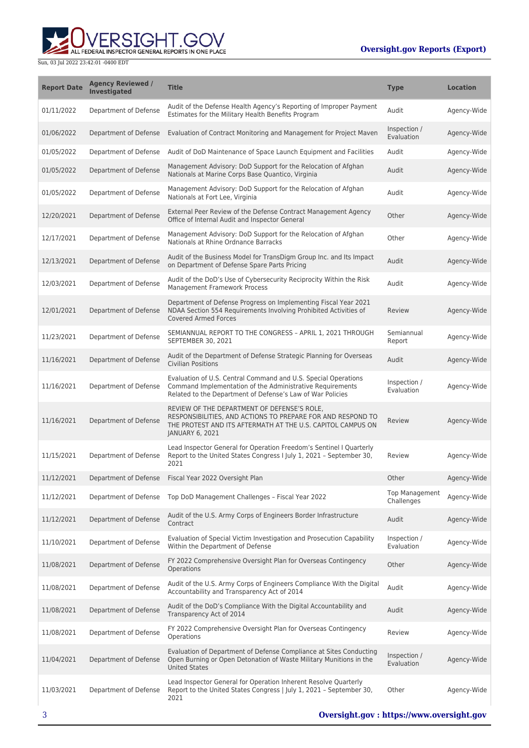

| <b>Report Date</b> | <b>Agency Reviewed /</b><br><b>Investigated</b> | <b>Title</b>                                                                                                                                                                                 | <b>Type</b>                         | <b>Location</b> |
|--------------------|-------------------------------------------------|----------------------------------------------------------------------------------------------------------------------------------------------------------------------------------------------|-------------------------------------|-----------------|
| 01/11/2022         | Department of Defense                           | Audit of the Defense Health Agency's Reporting of Improper Payment<br>Estimates for the Military Health Benefits Program                                                                     | Audit                               | Agency-Wide     |
| 01/06/2022         | Department of Defense                           | Evaluation of Contract Monitoring and Management for Project Maven                                                                                                                           | Inspection /<br>Evaluation          | Agency-Wide     |
| 01/05/2022         | Department of Defense                           | Audit of DoD Maintenance of Space Launch Equipment and Facilities                                                                                                                            | Audit                               | Agency-Wide     |
| 01/05/2022         | Department of Defense                           | Management Advisory: DoD Support for the Relocation of Afghan<br>Nationals at Marine Corps Base Quantico, Virginia                                                                           | Audit                               | Agency-Wide     |
| 01/05/2022         | Department of Defense                           | Management Advisory: DoD Support for the Relocation of Afghan<br>Nationals at Fort Lee, Virginia                                                                                             | Audit                               | Agency-Wide     |
| 12/20/2021         | Department of Defense                           | External Peer Review of the Defense Contract Management Agency<br>Office of Internal Audit and Inspector General                                                                             | Other                               | Agency-Wide     |
| 12/17/2021         | Department of Defense                           | Management Advisory: DoD Support for the Relocation of Afghan<br>Nationals at Rhine Ordnance Barracks                                                                                        | Other                               | Agency-Wide     |
| 12/13/2021         | Department of Defense                           | Audit of the Business Model for TransDigm Group Inc. and Its Impact<br>on Department of Defense Spare Parts Pricing                                                                          | Audit                               | Agency-Wide     |
| 12/03/2021         | Department of Defense                           | Audit of the DoD's Use of Cybersecurity Reciprocity Within the Risk<br>Management Framework Process                                                                                          | Audit                               | Agency-Wide     |
| 12/01/2021         | Department of Defense                           | Department of Defense Progress on Implementing Fiscal Year 2021<br>NDAA Section 554 Requirements Involving Prohibited Activities of<br><b>Covered Armed Forces</b>                           | Review                              | Agency-Wide     |
| 11/23/2021         | Department of Defense                           | SEMIANNUAL REPORT TO THE CONGRESS - APRIL 1, 2021 THROUGH<br>SEPTEMBER 30, 2021                                                                                                              | Semiannual<br>Report                | Agency-Wide     |
| 11/16/2021         | Department of Defense                           | Audit of the Department of Defense Strategic Planning for Overseas<br><b>Civilian Positions</b>                                                                                              | Audit                               | Agency-Wide     |
| 11/16/2021         | Department of Defense                           | Evaluation of U.S. Central Command and U.S. Special Operations<br>Command Implementation of the Administrative Requirements<br>Related to the Department of Defense's Law of War Policies    | Inspection /<br>Evaluation          | Agency-Wide     |
| 11/16/2021         | Department of Defense                           | REVIEW OF THE DEPARTMENT OF DEFENSE'S ROLE,<br>RESPONSIBILITIES, AND ACTIONS TO PREPARE FOR AND RESPOND TO<br>THE PROTEST AND ITS AFTERMATH AT THE U.S. CAPITOL CAMPUS ON<br>JANUARY 6, 2021 | Review                              | Agency-Wide     |
| 11/15/2021         | Department of Defense                           | Lead Inspector General for Operation Freedom's Sentinel I Quarterly<br>Report to the United States Congress I July 1, 2021 - September 30,<br>2021                                           | Review                              | Agency-Wide     |
| 11/12/2021         |                                                 | Department of Defense Fiscal Year 2022 Oversight Plan                                                                                                                                        | Other                               | Agency-Wide     |
| 11/12/2021         | Department of Defense                           | Top DoD Management Challenges - Fiscal Year 2022                                                                                                                                             | <b>Top Management</b><br>Challenges | Agency-Wide     |
| 11/12/2021         | Department of Defense                           | Audit of the U.S. Army Corps of Engineers Border Infrastructure<br>Contract                                                                                                                  | Audit                               | Agency-Wide     |
| 11/10/2021         | Department of Defense                           | Evaluation of Special Victim Investigation and Prosecution Capability<br>Within the Department of Defense                                                                                    | Inspection /<br>Evaluation          | Agency-Wide     |
| 11/08/2021         | Department of Defense                           | FY 2022 Comprehensive Oversight Plan for Overseas Contingency<br>Operations                                                                                                                  | Other                               | Agency-Wide     |
| 11/08/2021         | Department of Defense                           | Audit of the U.S. Army Corps of Engineers Compliance With the Digital<br>Accountability and Transparency Act of 2014                                                                         | Audit                               | Agency-Wide     |
| 11/08/2021         | Department of Defense                           | Audit of the DoD's Compliance With the Digital Accountability and<br>Transparency Act of 2014                                                                                                | Audit                               | Agency-Wide     |
| 11/08/2021         | Department of Defense                           | FY 2022 Comprehensive Oversight Plan for Overseas Contingency<br>Operations                                                                                                                  | Review                              | Agency-Wide     |
| 11/04/2021         | Department of Defense                           | Evaluation of Department of Defense Compliance at Sites Conducting<br>Open Burning or Open Detonation of Waste Military Munitions in the<br><b>United States</b>                             | Inspection /<br>Evaluation          | Agency-Wide     |
| 11/03/2021         | Department of Defense                           | Lead Inspector General for Operation Inherent Resolve Quarterly<br>Report to the United States Congress   July 1, 2021 - September 30,<br>2021                                               | Other                               | Agency-Wide     |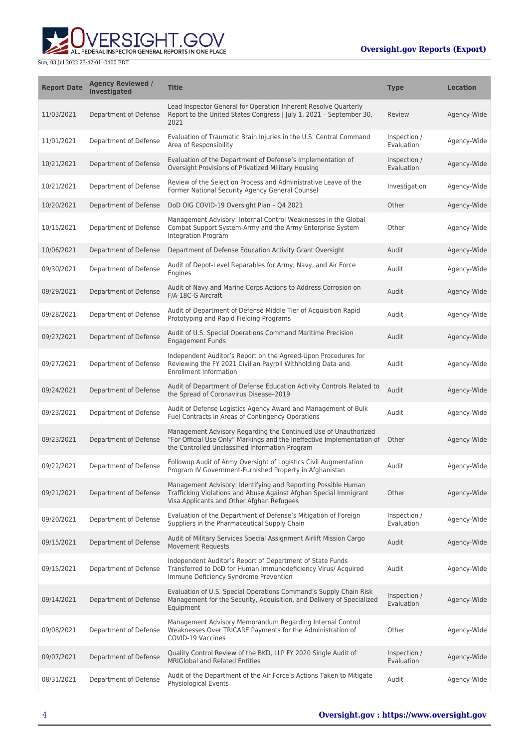

| <b>Report Date</b> | <b>Agency Reviewed /</b><br><b>Investigated</b> | <b>Title</b>                                                                                                                                                                                 | <b>Type</b>                | <b>Location</b> |
|--------------------|-------------------------------------------------|----------------------------------------------------------------------------------------------------------------------------------------------------------------------------------------------|----------------------------|-----------------|
| 11/03/2021         | Department of Defense                           | Lead Inspector General for Operation Inherent Resolve Quarterly<br>Report to the United States Congress   July 1, 2021 - September 30,<br>2021                                               | Review                     | Agency-Wide     |
| 11/01/2021         | Department of Defense                           | Evaluation of Traumatic Brain Injuries in the U.S. Central Command<br>Area of Responsibility                                                                                                 | Inspection /<br>Evaluation | Agency-Wide     |
| 10/21/2021         | Department of Defense                           | Evaluation of the Department of Defense's Implementation of<br>Oversight Provisions of Privatized Military Housing                                                                           | Inspection /<br>Evaluation | Agency-Wide     |
| 10/21/2021         | Department of Defense                           | Review of the Selection Process and Administrative Leave of the<br>Former National Security Agency General Counsel                                                                           | Investigation              | Agency-Wide     |
| 10/20/2021         | Department of Defense                           | DoD OIG COVID-19 Oversight Plan - Q4 2021                                                                                                                                                    | Other                      | Agency-Wide     |
| 10/15/2021         | Department of Defense                           | Management Advisory: Internal Control Weaknesses in the Global<br>Combat Support System-Army and the Army Enterprise System<br>Integration Program                                           | Other                      | Agency-Wide     |
| 10/06/2021         | Department of Defense                           | Department of Defense Education Activity Grant Oversight                                                                                                                                     | Audit                      | Agency-Wide     |
| 09/30/2021         | Department of Defense                           | Audit of Depot-Level Reparables for Army, Navy, and Air Force<br>Engines                                                                                                                     | Audit                      | Agency-Wide     |
| 09/29/2021         | Department of Defense                           | Audit of Navy and Marine Corps Actions to Address Corrosion on<br>F/A-18C-G Aircraft                                                                                                         | Audit                      | Agency-Wide     |
| 09/28/2021         | Department of Defense                           | Audit of Department of Defense Middle Tier of Acquisition Rapid<br>Prototyping and Rapid Fielding Programs                                                                                   | Audit                      | Agency-Wide     |
| 09/27/2021         | Department of Defense                           | Audit of U.S. Special Operations Command Maritime Precision<br><b>Engagement Funds</b>                                                                                                       | Audit                      | Agency-Wide     |
| 09/27/2021         | Department of Defense                           | Independent Auditor's Report on the Agreed-Upon Procedures for<br>Reviewing the FY 2021 Civilian Payroll Withholding Data and<br><b>Enrollment Information</b>                               | Audit                      | Agency-Wide     |
| 09/24/2021         | Department of Defense                           | Audit of Department of Defense Education Activity Controls Related to<br>the Spread of Coronavirus Disease-2019                                                                              | Audit                      | Agency-Wide     |
| 09/23/2021         | Department of Defense                           | Audit of Defense Logistics Agency Award and Management of Bulk<br>Fuel Contracts in Areas of Contingency Operations                                                                          | Audit                      | Agency-Wide     |
| 09/23/2021         | Department of Defense                           | Management Advisory Regarding the Continued Use of Unauthorized<br>"For Official Use Only" Markings and the Ineffective Implementation of<br>the Controlled Unclassified Information Program | Other                      | Agency-Wide     |
| 09/22/2021         | Department of Defense                           | Followup Audit of Army Oversight of Logistics Civil Augmentation<br>Program IV Government-Furnished Property in Afghanistan                                                                  | Audit                      | Agency-Wide     |
| 09/21/2021         | Department of Defense                           | Management Advisory: Identifying and Reporting Possible Human<br>Trafficking Violations and Abuse Against Afghan Special Immigrant<br>Visa Applicants and Other Afghan Refugees              | Other                      | Agency-Wide     |
| 09/20/2021         | Department of Defense                           | Evaluation of the Department of Defense's Mitigation of Foreign<br>Suppliers in the Pharmaceutical Supply Chain                                                                              | Inspection /<br>Evaluation | Agency-Wide     |
| 09/15/2021         | Department of Defense                           | Audit of Military Services Special Assignment Airlift Mission Cargo<br><b>Movement Requests</b>                                                                                              | Audit                      | Agency-Wide     |
| 09/15/2021         | Department of Defense                           | Independent Auditor's Report of Department of State Funds<br>Transferred to DoD for Human Immunodeficiency Virus/ Acquired<br>Immune Deficiency Syndrome Prevention                          | Audit                      | Agency-Wide     |
| 09/14/2021         | Department of Defense                           | Evaluation of U.S. Special Operations Command's Supply Chain Risk<br>Management for the Security, Acquisition, and Delivery of Specialized<br>Equipment                                      | Inspection /<br>Evaluation | Agency-Wide     |
| 09/08/2021         | Department of Defense                           | Management Advisory Memorandum Regarding Internal Control<br>Weaknesses Over TRICARE Payments for the Administration of<br>COVID-19 Vaccines                                                 | Other                      | Agency-Wide     |
| 09/07/2021         | Department of Defense                           | Quality Control Review of the BKD, LLP FY 2020 Single Audit of<br><b>MRIGlobal and Related Entities</b>                                                                                      | Inspection /<br>Evaluation | Agency-Wide     |
| 08/31/2021         | Department of Defense                           | Audit of the Department of the Air Force's Actions Taken to Mitigate<br><b>Physiological Events</b>                                                                                          | Audit                      | Agency-Wide     |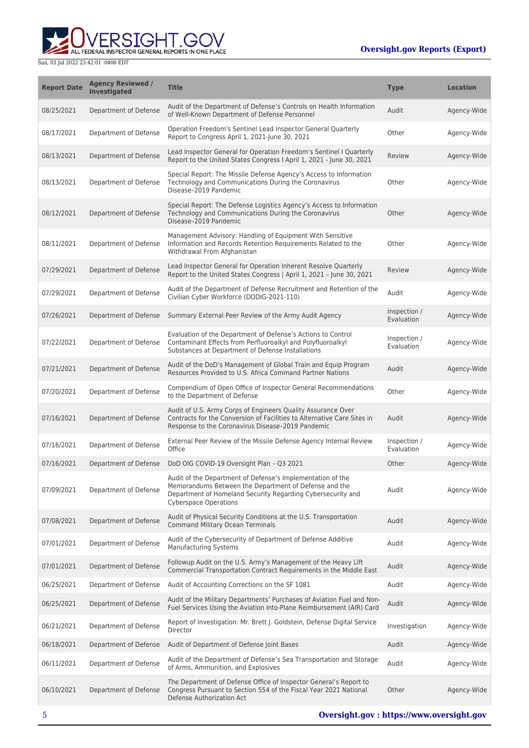

| <b>Report Date</b> | <b>Agency Reviewed /</b><br>Investigated | <b>Title</b>                                                                                                                                                                                                       | <b>Type</b>                | <b>Location</b> |
|--------------------|------------------------------------------|--------------------------------------------------------------------------------------------------------------------------------------------------------------------------------------------------------------------|----------------------------|-----------------|
| 08/25/2021         | Department of Defense                    | Audit of the Department of Defense's Controls on Health Information<br>of Well-Known Department of Defense Personnel                                                                                               | Audit                      | Agency-Wide     |
| 08/17/2021         | Department of Defense                    | Operation Freedom's Sentinel Lead Inspector General Quarterly<br>Report to Congress April 1, 2021-June 30, 2021                                                                                                    | Other                      | Agency-Wide     |
| 08/13/2021         | Department of Defense                    | Lead Inspector General for Operation Freedom's Sentinel I Quarterly<br>Report to the United States Congress I April 1, 2021 - June 30, 2021                                                                        | Review                     | Agency-Wide     |
| 08/13/2021         | Department of Defense                    | Special Report: The Missile Defense Agency's Access to Information<br>Technology and Communications During the Coronavirus<br>Disease-2019 Pandemic                                                                | Other                      | Agency-Wide     |
| 08/12/2021         | Department of Defense                    | Special Report: The Defense Logistics Agency's Access to Information<br>Technology and Communications During the Coronavirus<br>Disease-2019 Pandemic                                                              | Other                      | Agency-Wide     |
| 08/11/2021         | Department of Defense                    | Management Advisory: Handling of Equipment With Sensitive<br>Information and Records Retention Requirements Related to the<br>Withdrawal From Afghanistan                                                          | Other                      | Agency-Wide     |
| 07/29/2021         | Department of Defense                    | Lead Inspector General for Operation Inherent Resolve Quarterly<br>Report to the United States Congress   April 1, 2021 - June 30, 2021                                                                            | Review                     | Agency-Wide     |
| 07/29/2021         | Department of Defense                    | Audit of the Department of Defense Recruitment and Retention of the<br>Civilian Cyber Workforce (DODIG-2021-110)                                                                                                   | Audit                      | Agency-Wide     |
| 07/26/2021         | Department of Defense                    | Summary External Peer Review of the Army Audit Agency                                                                                                                                                              | Inspection /<br>Evaluation | Agency-Wide     |
| 07/22/2021         | Department of Defense                    | Evaluation of the Department of Defense's Actions to Control<br>Contaminant Effects from Perfluoroalkyl and Polyfluoroalkyl<br>Substances at Department of Defense Installations                                   | Inspection /<br>Evaluation | Agency-Wide     |
| 07/21/2021         | Department of Defense                    | Audit of the DoD's Management of Global Train and Equip Program<br>Resources Provided to U.S. Africa Command Partner Nations                                                                                       | Audit                      | Agency-Wide     |
| 07/20/2021         | Department of Defense                    | Compendium of Open Office of Inspector General Recommendations<br>to the Department of Defense                                                                                                                     | Other                      | Agency-Wide     |
| 07/16/2021         | Department of Defense                    | Audit of U.S. Army Corps of Engineers Quality Assurance Over<br>Contracts for the Conversion of Facilities to Alternative Care Sites in<br>Response to the Coronavirus Disease-2019 Pandemic                       | Audit                      | Agency-Wide     |
| 07/16/2021         | Department of Defense                    | External Peer Review of the Missile Defense Agency Internal Review<br>Office                                                                                                                                       | Inspection /<br>Evaluation | Agency-Wide     |
| 07/16/2021         | Department of Defense                    | DoD OIG COVID-19 Oversight Plan - Q3 2021                                                                                                                                                                          | Other                      | Agency-Wide     |
| 07/09/2021         | Department of Defense                    | Audit of the Department of Defense's Implementation of the<br>Memorandums Between the Department of Defense and the<br>Department of Homeland Security Regarding Cybersecurity and<br><b>Cyberspace Operations</b> | Audit                      | Agency-Wide     |
| 07/08/2021         | Department of Defense                    | Audit of Physical Security Conditions at the U.S. Transportation<br><b>Command Military Ocean Terminals</b>                                                                                                        | Audit                      | Agency-Wide     |
| 07/01/2021         | Department of Defense                    | Audit of the Cybersecurity of Department of Defense Additive<br><b>Manufacturing Systems</b>                                                                                                                       | Audit                      | Agency-Wide     |
| 07/01/2021         | Department of Defense                    | Followup Audit on the U.S. Army's Management of the Heavy Lift<br>Commercial Transportation Contract Requirements in the Middle East                                                                               | Audit                      | Agency-Wide     |
| 06/25/2021         | Department of Defense                    | Audit of Accounting Corrections on the SF 1081                                                                                                                                                                     | Audit                      | Agency-Wide     |
| 06/25/2021         | Department of Defense                    | Audit of the Military Departments' Purchases of Aviation Fuel and Non-<br>Fuel Services Using the Aviation Into-Plane Reimbursement (AIR) Card                                                                     | Audit                      | Agency-Wide     |
| 06/21/2021         | Department of Defense                    | Report of Investigation: Mr. Brett J. Goldstein, Defense Digital Service<br>Director                                                                                                                               | Investigation              | Agency-Wide     |
| 06/18/2021         | Department of Defense                    | Audit of Department of Defense Joint Bases                                                                                                                                                                         | Audit                      | Agency-Wide     |
| 06/11/2021         | Department of Defense                    | Audit of the Department of Defense's Sea Transportation and Storage<br>of Arms, Ammunition, and Explosives                                                                                                         | Audit                      | Agency-Wide     |
| 06/10/2021         | Department of Defense                    | The Department of Defense Office of Inspector General's Report to<br>Congress Pursuant to Section 554 of the Fiscal Year 2021 National<br>Defense Authorization Act                                                | Other                      | Agency-Wide     |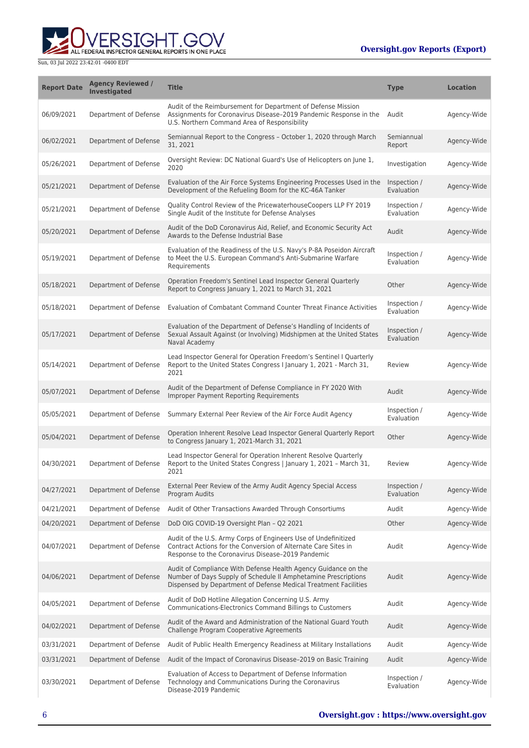

| <b>Report Date</b> | <b>Agency Reviewed /</b><br>Investigated | <b>Title</b>                                                                                                                                                                                        | <b>Type</b>                | <b>Location</b> |
|--------------------|------------------------------------------|-----------------------------------------------------------------------------------------------------------------------------------------------------------------------------------------------------|----------------------------|-----------------|
| 06/09/2021         | Department of Defense                    | Audit of the Reimbursement for Department of Defense Mission<br>Assignments for Coronavirus Disease-2019 Pandemic Response in the<br>U.S. Northern Command Area of Responsibility                   | Audit                      | Agency-Wide     |
| 06/02/2021         | Department of Defense                    | Semiannual Report to the Congress - October 1, 2020 through March<br>31, 2021                                                                                                                       | Semiannual<br>Report       | Agency-Wide     |
| 05/26/2021         | Department of Defense                    | Oversight Review: DC National Guard's Use of Helicopters on June 1,<br>2020                                                                                                                         | Investigation              | Agency-Wide     |
| 05/21/2021         | Department of Defense                    | Evaluation of the Air Force Systems Engineering Processes Used in the<br>Development of the Refueling Boom for the KC-46A Tanker                                                                    | Inspection /<br>Evaluation | Agency-Wide     |
| 05/21/2021         | Department of Defense                    | Quality Control Review of the PricewaterhouseCoopers LLP FY 2019<br>Single Audit of the Institute for Defense Analyses                                                                              | Inspection /<br>Evaluation | Agency-Wide     |
| 05/20/2021         | Department of Defense                    | Audit of the DoD Coronavirus Aid, Relief, and Economic Security Act<br>Awards to the Defense Industrial Base                                                                                        | Audit                      | Agency-Wide     |
| 05/19/2021         | Department of Defense                    | Evaluation of the Readiness of the U.S. Navy's P-8A Poseidon Aircraft<br>to Meet the U.S. European Command's Anti-Submarine Warfare<br>Requirements                                                 | Inspection /<br>Evaluation | Agency-Wide     |
| 05/18/2021         | Department of Defense                    | Operation Freedom's Sentinel Lead Inspector General Quarterly<br>Report to Congress January 1, 2021 to March 31, 2021                                                                               | Other                      | Agency-Wide     |
| 05/18/2021         | Department of Defense                    | Evaluation of Combatant Command Counter Threat Finance Activities                                                                                                                                   | Inspection /<br>Evaluation | Agency-Wide     |
| 05/17/2021         | Department of Defense                    | Evaluation of the Department of Defense's Handling of Incidents of<br>Sexual Assault Against (or Involving) Midshipmen at the United States<br>Naval Academy                                        | Inspection /<br>Evaluation | Agency-Wide     |
| 05/14/2021         | Department of Defense                    | Lead Inspector General for Operation Freedom's Sentinel I Quarterly<br>Report to the United States Congress I January 1, 2021 - March 31,<br>2021                                                   | Review                     | Agency-Wide     |
| 05/07/2021         | Department of Defense                    | Audit of the Department of Defense Compliance in FY 2020 With<br><b>Improper Payment Reporting Requirements</b>                                                                                     | Audit                      | Agency-Wide     |
| 05/05/2021         | Department of Defense                    | Summary External Peer Review of the Air Force Audit Agency                                                                                                                                          | Inspection /<br>Evaluation | Agency-Wide     |
| 05/04/2021         | Department of Defense                    | Operation Inherent Resolve Lead Inspector General Quarterly Report<br>to Congress January 1, 2021-March 31, 2021                                                                                    | Other                      | Agency-Wide     |
| 04/30/2021         | Department of Defense                    | Lead Inspector General for Operation Inherent Resolve Quarterly<br>Report to the United States Congress   January 1, 2021 - March 31,<br>2021                                                       | Review                     | Agency-Wide     |
| 04/27/2021         | Department of Defense                    | External Peer Review of the Army Audit Agency Special Access<br>Program Audits                                                                                                                      | Inspection /<br>Evaluation | Agency-Wide     |
| 04/21/2021         | Department of Defense                    | Audit of Other Transactions Awarded Through Consortiums                                                                                                                                             | Audit                      | Agency-Wide     |
| 04/20/2021         | Department of Defense                    | DoD OIG COVID-19 Oversight Plan - Q2 2021                                                                                                                                                           | Other                      | Agency-Wide     |
| 04/07/2021         | Department of Defense                    | Audit of the U.S. Army Corps of Engineers Use of Undefinitized<br>Contract Actions for the Conversion of Alternate Care Sites in<br>Response to the Coronavirus Disease-2019 Pandemic               | Audit                      | Agency-Wide     |
| 04/06/2021         | Department of Defense                    | Audit of Compliance With Defense Health Agency Guidance on the<br>Number of Days Supply of Schedule II Amphetamine Prescriptions<br>Dispensed by Department of Defense Medical Treatment Facilities | Audit                      | Agency-Wide     |
| 04/05/2021         | Department of Defense                    | Audit of DoD Hotline Allegation Concerning U.S. Army<br>Communications-Electronics Command Billings to Customers                                                                                    | Audit                      | Agency-Wide     |
| 04/02/2021         | Department of Defense                    | Audit of the Award and Administration of the National Guard Youth<br>Challenge Program Cooperative Agreements                                                                                       | Audit                      | Agency-Wide     |
| 03/31/2021         | Department of Defense                    | Audit of Public Health Emergency Readiness at Military Installations                                                                                                                                | Audit                      | Agency-Wide     |
| 03/31/2021         | Department of Defense                    | Audit of the Impact of Coronavirus Disease-2019 on Basic Training                                                                                                                                   | Audit                      | Agency-Wide     |
| 03/30/2021         | Department of Defense                    | Evaluation of Access to Department of Defense Information<br>Technology and Communications During the Coronavirus<br>Disease-2019 Pandemic                                                          | Inspection /<br>Evaluation | Agency-Wide     |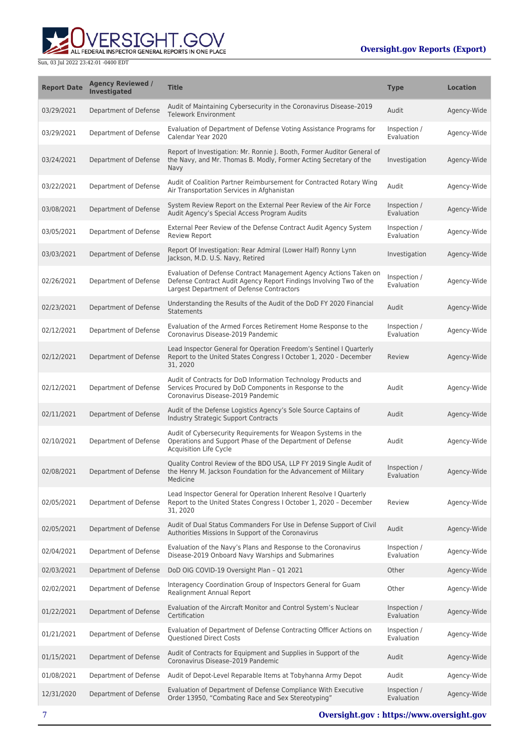

| <b>Report Date</b> | <b>Agency Reviewed /</b><br>Investigated | <b>Title</b>                                                                                                                                                                         | <b>Type</b>                | <b>Location</b> |
|--------------------|------------------------------------------|--------------------------------------------------------------------------------------------------------------------------------------------------------------------------------------|----------------------------|-----------------|
| 03/29/2021         | Department of Defense                    | Audit of Maintaining Cybersecurity in the Coronavirus Disease-2019<br><b>Telework Environment</b>                                                                                    | Audit                      | Agency-Wide     |
| 03/29/2021         | Department of Defense                    | Evaluation of Department of Defense Voting Assistance Programs for<br>Calendar Year 2020                                                                                             | Inspection /<br>Evaluation | Agency-Wide     |
| 03/24/2021         | Department of Defense                    | Report of Investigation: Mr. Ronnie J. Booth, Former Auditor General of<br>the Navy, and Mr. Thomas B. Modly, Former Acting Secretary of the<br>Navy                                 | Investigation              | Agency-Wide     |
| 03/22/2021         | Department of Defense                    | Audit of Coalition Partner Reimbursement for Contracted Rotary Wing<br>Air Transportation Services in Afghanistan                                                                    | Audit                      | Agency-Wide     |
| 03/08/2021         | Department of Defense                    | System Review Report on the External Peer Review of the Air Force<br>Audit Agency's Special Access Program Audits                                                                    | Inspection /<br>Evaluation | Agency-Wide     |
| 03/05/2021         | Department of Defense                    | External Peer Review of the Defense Contract Audit Agency System<br><b>Review Report</b>                                                                                             | Inspection /<br>Evaluation | Agency-Wide     |
| 03/03/2021         | Department of Defense                    | Report Of Investigation: Rear Admiral (Lower Half) Ronny Lynn<br>Jackson, M.D. U.S. Navy, Retired                                                                                    | Investigation              | Agency-Wide     |
| 02/26/2021         | Department of Defense                    | Evaluation of Defense Contract Management Agency Actions Taken on<br>Defense Contract Audit Agency Report Findings Involving Two of the<br>Largest Department of Defense Contractors | Inspection /<br>Evaluation | Agency-Wide     |
| 02/23/2021         | Department of Defense                    | Understanding the Results of the Audit of the DoD FY 2020 Financial<br><b>Statements</b>                                                                                             | Audit                      | Agency-Wide     |
| 02/12/2021         | Department of Defense                    | Evaluation of the Armed Forces Retirement Home Response to the<br>Coronavirus Disease-2019 Pandemic                                                                                  | Inspection /<br>Evaluation | Agency-Wide     |
| 02/12/2021         | Department of Defense                    | Lead Inspector General for Operation Freedom's Sentinel I Quarterly<br>Report to the United States Congress I October 1, 2020 - December<br>31, 2020                                 | Review                     | Agency-Wide     |
| 02/12/2021         | Department of Defense                    | Audit of Contracts for DoD Information Technology Products and<br>Services Procured by DoD Components in Response to the<br>Coronavirus Disease-2019 Pandemic                        | Audit                      | Agency-Wide     |
| 02/11/2021         | Department of Defense                    | Audit of the Defense Logistics Agency's Sole Source Captains of<br><b>Industry Strategic Support Contracts</b>                                                                       | Audit                      | Agency-Wide     |
| 02/10/2021         | Department of Defense                    | Audit of Cybersecurity Requirements for Weapon Systems in the<br>Operations and Support Phase of the Department of Defense<br><b>Acquisition Life Cycle</b>                          | Audit                      | Agency-Wide     |
| 02/08/2021         | Department of Defense                    | Quality Control Review of the BDO USA, LLP FY 2019 Single Audit of<br>the Henry M. Jackson Foundation for the Advancement of Military<br>Medicine                                    | Inspection /<br>Evaluation | Agency-Wide     |
| 02/05/2021         | Department of Defense                    | Lead Inspector General for Operation Inherent Resolve I Quarterly<br>Report to the United States Congress I October 1, 2020 - December<br>31, 2020                                   | Review                     | Agency-Wide     |
| 02/05/2021         | Department of Defense                    | Audit of Dual Status Commanders For Use in Defense Support of Civil<br>Authorities Missions In Support of the Coronavirus                                                            | Audit                      | Agency-Wide     |
| 02/04/2021         | Department of Defense                    | Evaluation of the Navy's Plans and Response to the Coronavirus<br>Disease-2019 Onboard Navy Warships and Submarines                                                                  | Inspection /<br>Evaluation | Agency-Wide     |
| 02/03/2021         | Department of Defense                    | DoD OIG COVID-19 Oversight Plan - Q1 2021                                                                                                                                            | Other                      | Agency-Wide     |
| 02/02/2021         | Department of Defense                    | Interagency Coordination Group of Inspectors General for Guam<br>Realignment Annual Report                                                                                           | Other                      | Agency-Wide     |
| 01/22/2021         | Department of Defense                    | Evaluation of the Aircraft Monitor and Control System's Nuclear<br>Certification                                                                                                     | Inspection /<br>Evaluation | Agency-Wide     |
| 01/21/2021         | Department of Defense                    | Evaluation of Department of Defense Contracting Officer Actions on<br><b>Questioned Direct Costs</b>                                                                                 | Inspection /<br>Evaluation | Agency-Wide     |
| 01/15/2021         | Department of Defense                    | Audit of Contracts for Equipment and Supplies in Support of the<br>Coronavirus Disease-2019 Pandemic                                                                                 | Audit                      | Agency-Wide     |
| 01/08/2021         | Department of Defense                    | Audit of Depot-Level Reparable Items at Tobyhanna Army Depot                                                                                                                         | Audit                      | Agency-Wide     |
| 12/31/2020         | Department of Defense                    | Evaluation of Department of Defense Compliance With Executive<br>Order 13950, "Combating Race and Sex Stereotyping"                                                                  | Inspection /<br>Evaluation | Agency-Wide     |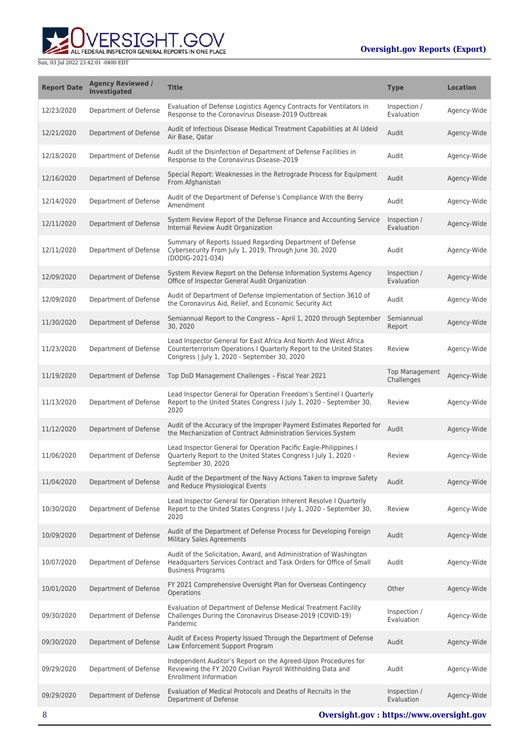# ALL FEDERAL INSPECTOR GENERAL REPORTS IN ONE PLACE

| <b>Report Date</b> | <b>Agency Reviewed /</b><br><b>Investigated</b> | <b>Title</b>                                                                                                                                                                            | <b>Type</b>                         | <b>Location</b> |
|--------------------|-------------------------------------------------|-----------------------------------------------------------------------------------------------------------------------------------------------------------------------------------------|-------------------------------------|-----------------|
| 12/23/2020         | Department of Defense                           | Evaluation of Defense Logistics Agency Contracts for Ventilators in<br>Response to the Coronavirus Disease-2019 Outbreak                                                                | Inspection /<br>Evaluation          | Agency-Wide     |
| 12/21/2020         | Department of Defense                           | Audit of Infectious Disease Medical Treatment Capabilities at Al Udeid<br>Air Base, Qatar                                                                                               | Audit                               | Agency-Wide     |
| 12/18/2020         | Department of Defense                           | Audit of the Disinfection of Department of Defense Facilities in<br>Response to the Coronavirus Disease-2019                                                                            | Audit                               | Agency-Wide     |
| 12/16/2020         | Department of Defense                           | Special Report: Weaknesses in the Retrograde Process for Equipment<br>From Afghanistan                                                                                                  | Audit                               | Agency-Wide     |
| 12/14/2020         | Department of Defense                           | Audit of the Department of Defense's Compliance With the Berry<br>Amendment                                                                                                             | Audit                               | Agency-Wide     |
| 12/11/2020         | Department of Defense                           | System Review Report of the Defense Finance and Accounting Service<br>Internal Review Audit Organization                                                                                | Inspection /<br>Evaluation          | Agency-Wide     |
| 12/11/2020         | Department of Defense                           | Summary of Reports Issued Regarding Department of Defense<br>Cybersecurity From July 1, 2019, Through June 30, 2020<br>(DODIG-2021-034)                                                 | Audit                               | Agency-Wide     |
| 12/09/2020         | Department of Defense                           | System Review Report on the Defense Information Systems Agency<br>Office of Inspector General Audit Organization                                                                        | Inspection /<br>Evaluation          | Agency-Wide     |
| 12/09/2020         | Department of Defense                           | Audit of Department of Defense Implementation of Section 3610 of<br>the Coronavirus Aid, Relief, and Economic Security Act                                                              | Audit                               | Agency-Wide     |
| 11/30/2020         | Department of Defense                           | Semiannual Report to the Congress - April 1, 2020 through September<br>30.2020                                                                                                          | Semiannual<br>Report                | Agency-Wide     |
| 11/23/2020         | Department of Defense                           | Lead Inspector General for East Africa And North And West Africa<br>Counterterrorism Operations I Quarterly Report to the United States<br>Congress   July 1, 2020 - September 30, 2020 | Review                              | Agency-Wide     |
| 11/19/2020         | Department of Defense                           | Top DoD Management Challenges - Fiscal Year 2021                                                                                                                                        | <b>Top Management</b><br>Challenges | Agency-Wide     |
| 11/13/2020         | Department of Defense                           | Lead Inspector General for Operation Freedom's Sentinel I Quarterly<br>Report to the United States Congress I July 1, 2020 - September 30,<br>2020                                      | Review                              | Agency-Wide     |
| 11/12/2020         | Department of Defense                           | Audit of the Accuracy of the Improper Payment Estimates Reported for<br>the Mechanization of Contract Administration Services System                                                    | Audit                               | Agency-Wide     |
| 11/06/2020         | Department of Defense                           | Lead Inspector General for Operation Pacific Eagle-Philippines I<br>Quarterly Report to the United States Congress I July 1, 2020 -<br>September 30, 2020                               | Review                              | Agency-Wide     |
| 11/04/2020         | Department of Defense                           | Audit of the Department of the Navy Actions Taken to Improve Safety<br>and Reduce Physiological Events                                                                                  | Audit                               | Agency-Wide     |
| 10/30/2020         | Department of Defense                           | Lead Inspector General for Operation Inherent Resolve I Quarterly<br>Report to the United States Congress I July 1, 2020 - September 30,<br>2020                                        | Review                              | Agency-Wide     |
| 10/09/2020         | Department of Defense                           | Audit of the Department of Defense Process for Developing Foreign<br><b>Military Sales Agreements</b>                                                                                   | Audit                               | Agency-Wide     |
| 10/07/2020         | Department of Defense                           | Audit of the Solicitation, Award, and Administration of Washington<br>Headquarters Services Contract and Task Orders for Office of Small<br><b>Business Programs</b>                    | Audit                               | Agency-Wide     |
| 10/01/2020         | Department of Defense                           | FY 2021 Comprehensive Oversight Plan for Overseas Contingency<br>Operations                                                                                                             | Other                               | Agency-Wide     |
| 09/30/2020         | Department of Defense                           | Evaluation of Department of Defense Medical Treatment Facility<br>Challenges During the Coronavirus Disease-2019 (COVID-19)<br>Pandemic                                                 | Inspection /<br>Evaluation          | Agency-Wide     |
| 09/30/2020         | Department of Defense                           | Audit of Excess Property Issued Through the Department of Defense<br>Law Enforcement Support Program                                                                                    | Audit                               | Agency-Wide     |
| 09/29/2020         | Department of Defense                           | Independent Auditor's Report on the Agreed-Upon Procedures for<br>Reviewing the FY 2020 Civilian Payroll Withholding Data and<br><b>Enrollment Information</b>                          | Audit                               | Agency-Wide     |
| 09/29/2020         | Department of Defense                           | Evaluation of Medical Protocols and Deaths of Recruits in the<br>Department of Defense                                                                                                  | Inspection /<br>Evaluation          | Agency-Wide     |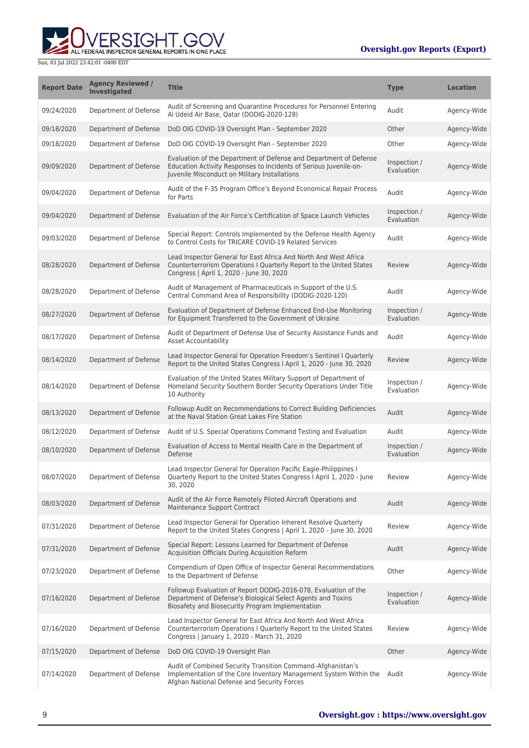

| <b>Report Date</b> | <b>Agency Reviewed /</b><br>Investigated | <b>Title</b>                                                                                                                                                                            | <b>Type</b>                | <b>Location</b> |
|--------------------|------------------------------------------|-----------------------------------------------------------------------------------------------------------------------------------------------------------------------------------------|----------------------------|-----------------|
| 09/24/2020         | Department of Defense                    | Audit of Screening and Quarantine Procedures for Personnel Entering<br>Al Udeid Air Base, Oatar (DODIG-2020-128)                                                                        | Audit                      | Agency-Wide     |
| 09/18/2020         | Department of Defense                    | DoD OIG COVID-19 Oversight Plan - September 2020                                                                                                                                        | Other                      | Agency-Wide     |
| 09/18/2020         | Department of Defense                    | DoD OIG COVID-19 Oversight Plan - September 2020                                                                                                                                        | Other                      | Agency-Wide     |
| 09/09/2020         | Department of Defense                    | Evaluation of the Department of Defense and Department of Defense<br>Education Activity Responses to Incidents of Serious Juvenile-on-<br>Juvenile Misconduct on Military Installations | Inspection /<br>Evaluation | Agency-Wide     |
| 09/04/2020         | Department of Defense                    | Audit of the F-35 Program Office's Beyond Economical Repair Process<br>for Parts                                                                                                        | Audit                      | Agency-Wide     |
| 09/04/2020         | Department of Defense                    | Evaluation of the Air Force's Certification of Space Launch Vehicles                                                                                                                    | Inspection /<br>Evaluation | Agency-Wide     |
| 09/03/2020         | Department of Defense                    | Special Report: Controls Implemented by the Defense Health Agency<br>to Control Costs for TRICARE COVID-19 Related Services                                                             | Audit                      | Agency-Wide     |
| 08/28/2020         | Department of Defense                    | Lead Inspector General for East Africa And North And West Africa<br>Counterterrorism Operations I Quarterly Report to the United States<br>Congress   April 1, 2020 - June 30, 2020     | Review                     | Agency-Wide     |
| 08/28/2020         | Department of Defense                    | Audit of Management of Pharmaceuticals in Support of the U.S.<br>Central Command Area of Responsibility (DODIG-2020-120)                                                                | Audit                      | Agency-Wide     |
| 08/27/2020         | Department of Defense                    | Evaluation of Department of Defense Enhanced End-Use Monitoring<br>for Equipment Transferred to the Government of Ukraine                                                               | Inspection /<br>Evaluation | Agency-Wide     |
| 08/17/2020         | Department of Defense                    | Audit of Department of Defense Use of Security Assistance Funds and<br><b>Asset Accountability</b>                                                                                      | Audit                      | Agency-Wide     |
| 08/14/2020         | Department of Defense                    | Lead Inspector General for Operation Freedom's Sentinel I Quarterly<br>Report to the United States Congress I April 1, 2020 - June 30, 2020                                             | Review                     | Agency-Wide     |
| 08/14/2020         | Department of Defense                    | Evaluation of the United States Military Support of Department of<br>Homeland Security Southern Border Security Operations Under Title<br>10 Authority                                  | Inspection /<br>Evaluation | Agency-Wide     |
| 08/13/2020         | Department of Defense                    | Followup Audit on Recommendations to Correct Building Deficiencies<br>at the Naval Station Great Lakes Fire Station                                                                     | Audit                      | Agency-Wide     |
| 08/12/2020         | Department of Defense                    | Audit of U.S. Special Operations Command Testing and Evaluation                                                                                                                         | Audit                      | Agency-Wide     |
| 08/10/2020         | Department of Defense                    | Evaluation of Access to Mental Health Care in the Department of<br>Defense                                                                                                              | Inspection /<br>Evaluation | Agency-Wide     |
| 08/07/2020         | Department of Defense                    | Lead Inspector General for Operation Pacific Eagle-Philippines I<br>Quarterly Report to the United States Congress I April 1, 2020 - June<br>30, 2020                                   | Review                     | Agency-Wide     |
| 08/03/2020         | Department of Defense                    | Audit of the Air Force Remotely Piloted Aircraft Operations and<br>Maintenance Support Contract                                                                                         | Audit                      | Agency-Wide     |
| 07/31/2020         | Department of Defense                    | Lead Inspector General for Operation Inherent Resolve Quarterly<br>Report to the United States Congress   April 1, 2020 - June 30, 2020                                                 | Review                     | Agency-Wide     |
| 07/31/2020         | Department of Defense                    | Special Report: Lessons Learned for Department of Defense<br>Acquisition Officials During Acquisition Reform                                                                            | Audit                      | Agency-Wide     |
| 07/23/2020         | Department of Defense                    | Compendium of Open Office of Inspector General Recommendations<br>to the Department of Defense                                                                                          | Other                      | Agency-Wide     |
| 07/16/2020         | Department of Defense                    | Followup Evaluation of Report DODIG-2016-078, Evaluation of the<br>Department of Defense's Biological Select Agents and Toxins<br>Biosafety and Biosecurity Program Implementation      | Inspection /<br>Evaluation | Agency-Wide     |
| 07/16/2020         | Department of Defense                    | Lead Inspector General for East Africa And North And West Africa<br>Counterterrorism Operations I Quarterly Report to the United States<br>Congress   January 1, 2020 - March 31, 2020  | Review                     | Agency-Wide     |
| 07/15/2020         | Department of Defense                    | DoD OIG COVID-19 Oversight Plan                                                                                                                                                         | Other                      | Agency-Wide     |
| 07/14/2020         | Department of Defense                    | Audit of Combined Security Transition Command-Afghanistan's<br>Implementation of the Core Inventory Management System Within the<br>Afghan National Defense and Security Forces         | Audit                      | Agency-Wide     |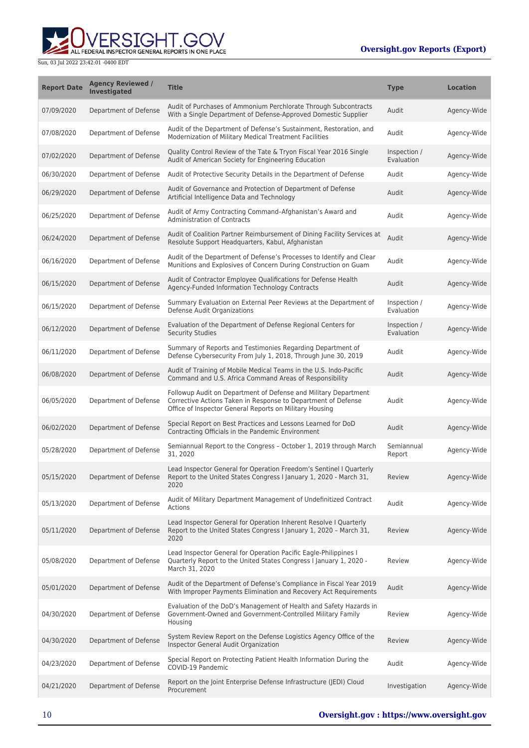RSIGHT.GOV ALL FEDERAL INSPECTOR GENERAL REPORTS IN ONE PLACE

| <b>Report Date</b> | <b>Agency Reviewed /</b><br><b>Investigated</b> | <b>Title</b>                                                                                                                                                                                | <b>Type</b>                | <b>Location</b> |
|--------------------|-------------------------------------------------|---------------------------------------------------------------------------------------------------------------------------------------------------------------------------------------------|----------------------------|-----------------|
| 07/09/2020         | Department of Defense                           | Audit of Purchases of Ammonium Perchlorate Through Subcontracts<br>With a Single Department of Defense-Approved Domestic Supplier                                                           | Audit                      | Agency-Wide     |
| 07/08/2020         | Department of Defense                           | Audit of the Department of Defense's Sustainment, Restoration, and<br>Modernization of Military Medical Treatment Facilities                                                                | Audit                      | Agency-Wide     |
| 07/02/2020         | Department of Defense                           | Quality Control Review of the Tate & Tryon Fiscal Year 2016 Single<br>Audit of American Society for Engineering Education                                                                   | Inspection /<br>Evaluation | Agency-Wide     |
| 06/30/2020         | Department of Defense                           | Audit of Protective Security Details in the Department of Defense                                                                                                                           | Audit                      | Agency-Wide     |
| 06/29/2020         | Department of Defense                           | Audit of Governance and Protection of Department of Defense<br>Artificial Intelligence Data and Technology                                                                                  | Audit                      | Agency-Wide     |
| 06/25/2020         | Department of Defense                           | Audit of Army Contracting Command-Afghanistan's Award and<br><b>Administration of Contracts</b>                                                                                             | Audit                      | Agency-Wide     |
| 06/24/2020         | Department of Defense                           | Audit of Coalition Partner Reimbursement of Dining Facility Services at<br>Resolute Support Headquarters, Kabul, Afghanistan                                                                | Audit                      | Agency-Wide     |
| 06/16/2020         | Department of Defense                           | Audit of the Department of Defense's Processes to Identify and Clear<br>Munitions and Explosives of Concern During Construction on Guam                                                     | Audit                      | Agency-Wide     |
| 06/15/2020         | Department of Defense                           | Audit of Contractor Employee Qualifications for Defense Health<br>Agency-Funded Information Technology Contracts                                                                            | Audit                      | Agency-Wide     |
| 06/15/2020         | Department of Defense                           | Summary Evaluation on External Peer Reviews at the Department of<br>Defense Audit Organizations                                                                                             | Inspection /<br>Evaluation | Agency-Wide     |
| 06/12/2020         | Department of Defense                           | Evaluation of the Department of Defense Regional Centers for<br><b>Security Studies</b>                                                                                                     | Inspection /<br>Evaluation | Agency-Wide     |
| 06/11/2020         | Department of Defense                           | Summary of Reports and Testimonies Regarding Department of<br>Defense Cybersecurity From July 1, 2018, Through June 30, 2019                                                                | Audit                      | Agency-Wide     |
| 06/08/2020         | Department of Defense                           | Audit of Training of Mobile Medical Teams in the U.S. Indo-Pacific<br>Command and U.S. Africa Command Areas of Responsibility                                                               | Audit                      | Agency-Wide     |
| 06/05/2020         | Department of Defense                           | Followup Audit on Department of Defense and Military Department<br>Corrective Actions Taken in Response to Department of Defense<br>Office of Inspector General Reports on Military Housing | Audit                      | Agency-Wide     |
| 06/02/2020         | Department of Defense                           | Special Report on Best Practices and Lessons Learned for DoD<br>Contracting Officials in the Pandemic Environment                                                                           | Audit                      | Agency-Wide     |
| 05/28/2020         | Department of Defense                           | Semiannual Report to the Congress - October 1, 2019 through March<br>31, 2020                                                                                                               | Semiannual<br>Report       | Agency-Wide     |
| 05/15/2020         | Department of Defense                           | Lead Inspector General for Operation Freedom's Sentinel I Quarterly<br>Report to the United States Congress I January 1, 2020 - March 31,<br>2020                                           | Review                     | Agency-Wide     |
| 05/13/2020         | Department of Defense                           | Audit of Military Department Management of Undefinitized Contract<br><b>Actions</b>                                                                                                         | Audit                      | Agency-Wide     |
| 05/11/2020         | Department of Defense                           | Lead Inspector General for Operation Inherent Resolve I Quarterly<br>Report to the United States Congress I January 1, 2020 - March 31,<br>2020                                             | Review                     | Agency-Wide     |
| 05/08/2020         | Department of Defense                           | Lead Inspector General for Operation Pacific Eagle-Philippines I<br>Quarterly Report to the United States Congress I January 1, 2020 -<br>March 31, 2020                                    | Review                     | Agency-Wide     |
| 05/01/2020         | Department of Defense                           | Audit of the Department of Defense's Compliance in Fiscal Year 2019<br>With Improper Payments Elimination and Recovery Act Requirements                                                     | Audit                      | Agency-Wide     |
| 04/30/2020         | Department of Defense                           | Evaluation of the DoD's Management of Health and Safety Hazards in<br>Government-Owned and Government-Controlled Military Family<br>Housing                                                 | Review                     | Agency-Wide     |
| 04/30/2020         | Department of Defense                           | System Review Report on the Defense Logistics Agency Office of the<br>Inspector General Audit Organization                                                                                  | Review                     | Agency-Wide     |
| 04/23/2020         | Department of Defense                           | Special Report on Protecting Patient Health Information During the<br>COVID-19 Pandemic                                                                                                     | Audit                      | Agency-Wide     |
| 04/21/2020         | Department of Defense                           | Report on the Joint Enterprise Defense Infrastructure (JEDI) Cloud<br>Procurement                                                                                                           | Investigation              | Agency-Wide     |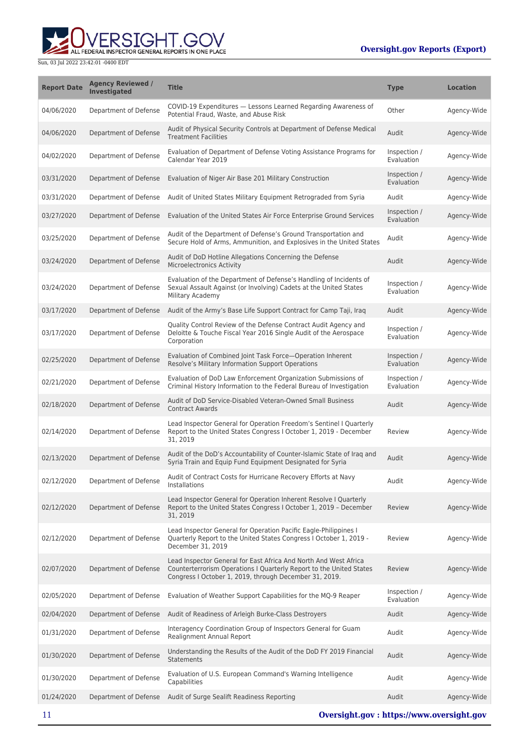

| <b>Report Date</b> | <b>Agency Reviewed /</b><br><b>Investigated</b> | <b>Title</b>                                                                                                                                                                                      | <b>Type</b>                | <b>Location</b> |
|--------------------|-------------------------------------------------|---------------------------------------------------------------------------------------------------------------------------------------------------------------------------------------------------|----------------------------|-----------------|
| 04/06/2020         | Department of Defense                           | COVID-19 Expenditures - Lessons Learned Regarding Awareness of<br>Potential Fraud, Waste, and Abuse Risk                                                                                          | Other                      | Agency-Wide     |
| 04/06/2020         | Department of Defense                           | Audit of Physical Security Controls at Department of Defense Medical<br><b>Treatment Facilities</b>                                                                                               | Audit                      | Agency-Wide     |
| 04/02/2020         | Department of Defense                           | Evaluation of Department of Defense Voting Assistance Programs for<br>Calendar Year 2019                                                                                                          | Inspection /<br>Evaluation | Agency-Wide     |
| 03/31/2020         | Department of Defense                           | Evaluation of Niger Air Base 201 Military Construction                                                                                                                                            | Inspection /<br>Evaluation | Agency-Wide     |
| 03/31/2020         | Department of Defense                           | Audit of United States Military Equipment Retrograded from Syria                                                                                                                                  | Audit                      | Agency-Wide     |
| 03/27/2020         | Department of Defense                           | Evaluation of the United States Air Force Enterprise Ground Services                                                                                                                              | Inspection /<br>Evaluation | Agency-Wide     |
| 03/25/2020         | Department of Defense                           | Audit of the Department of Defense's Ground Transportation and<br>Secure Hold of Arms, Ammunition, and Explosives in the United States                                                            | Audit                      | Agency-Wide     |
| 03/24/2020         | Department of Defense                           | Audit of DoD Hotline Allegations Concerning the Defense<br>Microelectronics Activity                                                                                                              | Audit                      | Agency-Wide     |
| 03/24/2020         | Department of Defense                           | Evaluation of the Department of Defense's Handling of Incidents of<br>Sexual Assault Against (or Involving) Cadets at the United States<br>Military Academy                                       | Inspection /<br>Evaluation | Agency-Wide     |
| 03/17/2020         | Department of Defense                           | Audit of the Army's Base Life Support Contract for Camp Taji, Iraq                                                                                                                                | Audit                      | Agency-Wide     |
| 03/17/2020         | Department of Defense                           | Quality Control Review of the Defense Contract Audit Agency and<br>Deloitte & Touche Fiscal Year 2016 Single Audit of the Aerospace<br>Corporation                                                | Inspection /<br>Evaluation | Agency-Wide     |
| 02/25/2020         | Department of Defense                           | Evaluation of Combined Joint Task Force-Operation Inherent<br>Resolve's Military Information Support Operations                                                                                   | Inspection /<br>Evaluation | Agency-Wide     |
| 02/21/2020         | Department of Defense                           | Evaluation of DoD Law Enforcement Organization Submissions of<br>Criminal History Information to the Federal Bureau of Investigation                                                              | Inspection /<br>Evaluation | Agency-Wide     |
| 02/18/2020         | Department of Defense                           | Audit of DoD Service-Disabled Veteran-Owned Small Business<br><b>Contract Awards</b>                                                                                                              | Audit                      | Agency-Wide     |
| 02/14/2020         | Department of Defense                           | Lead Inspector General for Operation Freedom's Sentinel I Quarterly<br>Report to the United States Congress I October 1, 2019 - December<br>31, 2019                                              | Review                     | Agency-Wide     |
| 02/13/2020         | Department of Defense                           | Audit of the DoD's Accountability of Counter-Islamic State of Iraq and<br>Syria Train and Equip Fund Equipment Designated for Syria                                                               | Audit                      | Agency-Wide     |
| 02/12/2020         | Department of Defense                           | Audit of Contract Costs for Hurricane Recovery Efforts at Navy<br>Installations                                                                                                                   | Audit                      | Agency-Wide     |
| 02/12/2020         | Department of Defense                           | Lead Inspector General for Operation Inherent Resolve I Quarterly<br>Report to the United States Congress I October 1, 2019 - December<br>31, 2019                                                | Review                     | Agency-Wide     |
| 02/12/2020         | Department of Defense                           | Lead Inspector General for Operation Pacific Eagle-Philippines I<br>Quarterly Report to the United States Congress I October 1, 2019 -<br>December 31, 2019                                       | Review                     | Agency-Wide     |
| 02/07/2020         | Department of Defense                           | Lead Inspector General for East Africa And North And West Africa<br>Counterterrorism Operations I Quarterly Report to the United States<br>Congress I October 1, 2019, through December 31, 2019. | Review                     | Agency-Wide     |
| 02/05/2020         | Department of Defense                           | Evaluation of Weather Support Capabilities for the MQ-9 Reaper                                                                                                                                    | Inspection /<br>Evaluation | Agency-Wide     |
| 02/04/2020         | Department of Defense                           | Audit of Readiness of Arleigh Burke-Class Destroyers                                                                                                                                              | Audit                      | Agency-Wide     |
| 01/31/2020         | Department of Defense                           | Interagency Coordination Group of Inspectors General for Guam<br>Realignment Annual Report                                                                                                        | Audit                      | Agency-Wide     |
| 01/30/2020         | Department of Defense                           | Understanding the Results of the Audit of the DoD FY 2019 Financial<br><b>Statements</b>                                                                                                          | Audit                      | Agency-Wide     |
| 01/30/2020         | Department of Defense                           | Evaluation of U.S. European Command's Warning Intelligence<br>Capabilities                                                                                                                        | Audit                      | Agency-Wide     |
| 01/24/2020         | Department of Defense                           | Audit of Surge Sealift Readiness Reporting                                                                                                                                                        | Audit                      | Agency-Wide     |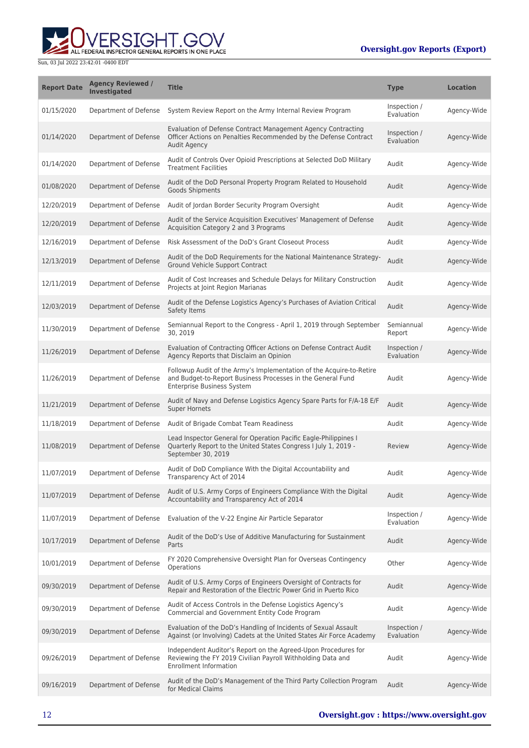RSIGHT.GOV ALL FEDERAL INSPECTOR GENERAL REPORTS IN ONE PLACE

| <b>Report Date</b> | <b>Agency Reviewed /</b><br><b>Investigated</b> | <b>Title</b>                                                                                                                                                      | <b>Type</b>                | <b>Location</b> |
|--------------------|-------------------------------------------------|-------------------------------------------------------------------------------------------------------------------------------------------------------------------|----------------------------|-----------------|
| 01/15/2020         | Department of Defense                           | System Review Report on the Army Internal Review Program                                                                                                          | Inspection /<br>Evaluation | Agency-Wide     |
| 01/14/2020         | Department of Defense                           | Evaluation of Defense Contract Management Agency Contracting<br>Officer Actions on Penalties Recommended by the Defense Contract<br><b>Audit Agency</b>           | Inspection /<br>Evaluation | Agency-Wide     |
| 01/14/2020         | Department of Defense                           | Audit of Controls Over Opioid Prescriptions at Selected DoD Military<br><b>Treatment Facilities</b>                                                               | Audit                      | Agency-Wide     |
| 01/08/2020         | Department of Defense                           | Audit of the DoD Personal Property Program Related to Household<br>Goods Shipments                                                                                | Audit                      | Agency-Wide     |
| 12/20/2019         | Department of Defense                           | Audit of Jordan Border Security Program Oversight                                                                                                                 | Audit                      | Agency-Wide     |
| 12/20/2019         | Department of Defense                           | Audit of the Service Acquisition Executives' Management of Defense<br>Acquisition Category 2 and 3 Programs                                                       | Audit                      | Agency-Wide     |
| 12/16/2019         | Department of Defense                           | Risk Assessment of the DoD's Grant Closeout Process                                                                                                               | Audit                      | Agency-Wide     |
| 12/13/2019         | Department of Defense                           | Audit of the DoD Requirements for the National Maintenance Strategy-<br>Ground Vehicle Support Contract                                                           | Audit                      | Agency-Wide     |
| 12/11/2019         | Department of Defense                           | Audit of Cost Increases and Schedule Delays for Military Construction<br>Projects at Joint Region Marianas                                                        | Audit                      | Agency-Wide     |
| 12/03/2019         | Department of Defense                           | Audit of the Defense Logistics Agency's Purchases of Aviation Critical<br>Safety Items                                                                            | Audit                      | Agency-Wide     |
| 11/30/2019         | Department of Defense                           | Semiannual Report to the Congress - April 1, 2019 through September<br>30, 2019                                                                                   | Semiannual<br>Report       | Agency-Wide     |
| 11/26/2019         | Department of Defense                           | Evaluation of Contracting Officer Actions on Defense Contract Audit<br>Agency Reports that Disclaim an Opinion                                                    | Inspection /<br>Evaluation | Agency-Wide     |
| 11/26/2019         | Department of Defense                           | Followup Audit of the Army's Implementation of the Acquire-to-Retire<br>and Budget-to-Report Business Processes in the General Fund<br>Enterprise Business System | Audit                      | Agency-Wide     |
| 11/21/2019         | Department of Defense                           | Audit of Navy and Defense Logistics Agency Spare Parts for F/A-18 E/F<br><b>Super Hornets</b>                                                                     | Audit                      | Agency-Wide     |
| 11/18/2019         | Department of Defense                           | Audit of Brigade Combat Team Readiness                                                                                                                            | Audit                      | Agency-Wide     |
| 11/08/2019         | Department of Defense                           | Lead Inspector General for Operation Pacific Eagle-Philippines I<br>Quarterly Report to the United States Congress I July 1, 2019 -<br>September 30, 2019         | Review                     | Agency-Wide     |
| 11/07/2019         | Department of Defense                           | Audit of DoD Compliance With the Digital Accountability and<br>Transparency Act of 2014                                                                           | Audit                      | Agency-Wide     |
| 11/07/2019         | Department of Defense                           | Audit of U.S. Army Corps of Engineers Compliance With the Digital<br>Accountability and Transparency Act of 2014                                                  | Audit                      | Agency-Wide     |
| 11/07/2019         | Department of Defense                           | Evaluation of the V-22 Engine Air Particle Separator                                                                                                              | Inspection /<br>Evaluation | Agency-Wide     |
| 10/17/2019         | Department of Defense                           | Audit of the DoD's Use of Additive Manufacturing for Sustainment<br>Parts                                                                                         | Audit                      | Agency-Wide     |
| 10/01/2019         | Department of Defense                           | FY 2020 Comprehensive Oversight Plan for Overseas Contingency<br>Operations                                                                                       | Other                      | Agency-Wide     |
| 09/30/2019         | Department of Defense                           | Audit of U.S. Army Corps of Engineers Oversight of Contracts for<br>Repair and Restoration of the Electric Power Grid in Puerto Rico                              | Audit                      | Agency-Wide     |
| 09/30/2019         | Department of Defense                           | Audit of Access Controls in the Defense Logistics Agency's<br>Commercial and Government Entity Code Program                                                       | Audit                      | Agency-Wide     |
| 09/30/2019         | Department of Defense                           | Evaluation of the DoD's Handling of Incidents of Sexual Assault<br>Against (or Involving) Cadets at the United States Air Force Academy                           | Inspection /<br>Evaluation | Agency-Wide     |
| 09/26/2019         | Department of Defense                           | Independent Auditor's Report on the Agreed-Upon Procedures for<br>Reviewing the FY 2019 Civilian Payroll Withholding Data and<br><b>Enrollment Information</b>    | Audit                      | Agency-Wide     |
| 09/16/2019         | Department of Defense                           | Audit of the DoD's Management of the Third Party Collection Program<br>for Medical Claims                                                                         | Audit                      | Agency-Wide     |